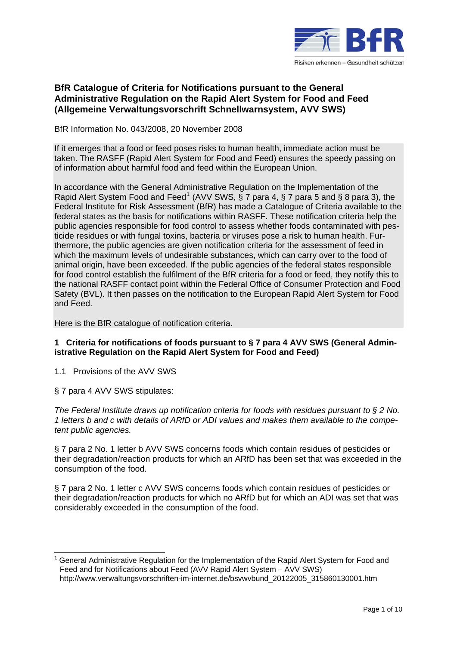

# **BfR Catalogue of Criteria for Notifications pursuant to the General Administrative Regulation on the Rapid Alert System for Food and Feed (Allgemeine Verwaltungsvorschrift Schnellwarnsystem, AVV SWS)**

BfR Information No. 043/2008, 20 November 2008

If it emerges that a food or feed poses risks to human health, immediate action must be taken. The RASFF (Rapid Alert System for Food and Feed) ensures the speedy passing on of information about harmful food and feed within the European Union.

In accordance with the General Administrative Regulation on the Implementation of the Rapid Alert System Food and Feed<sup>[1](#page-0-0)</sup> (AVV SWS,  $\S$  7 para 4,  $\S$  7 para 5 and § 8 para 3), the Federal Institute for Risk Assessment (BfR) has made a Catalogue of Criteria available to the federal states as the basis for notifications within RASFF. These notification criteria help the public agencies responsible for food control to assess whether foods contaminated with pesticide residues or with fungal toxins, bacteria or viruses pose a risk to human health. Furthermore, the public agencies are given notification criteria for the assessment of feed in which the maximum levels of undesirable substances, which can carry over to the food of animal origin, have been exceeded. If the public agencies of the federal states responsible for food control establish the fulfilment of the BfR criteria for a food or feed, they notify this to the national RASFF contact point within the Federal Office of Consumer Protection and Food Safety (BVL). It then passes on the notification to the European Rapid Alert System for Food and Feed.

Here is the BfR catalogue of notification criteria.

## **1 Criteria for notifications of foods pursuant to § 7 para 4 AVV SWS (General Administrative Regulation on the Rapid Alert System for Food and Feed)**

1.1 Provisions of the AVV SWS

§ 7 para 4 AVV SWS stipulates:

 $\overline{a}$ 

*The Federal Institute draws up notification criteria for foods with residues pursuant to § 2 No. 1 letters b and c with details of ARfD or ADI values and makes them available to the competent public agencies.*

§ 7 para 2 No. 1 letter b AVV SWS concerns foods which contain residues of pesticides or their degradation/reaction products for which an ARfD has been set that was exceeded in the consumption of the food.

§ 7 para 2 No. 1 letter c AVV SWS concerns foods which contain residues of pesticides or their degradation/reaction products for which no ARfD but for which an ADI was set that was considerably exceeded in the consumption of the food.

<span id="page-0-0"></span><sup>1</sup> General Administrative Regulation for the Implementation of the Rapid Alert System for Food and Feed and for Notifications about Feed (AVV Rapid Alert System – AVV SWS) http://www.verwaltungsvorschriften-im-internet.de/bsvwvbund\_20122005\_315860130001.htm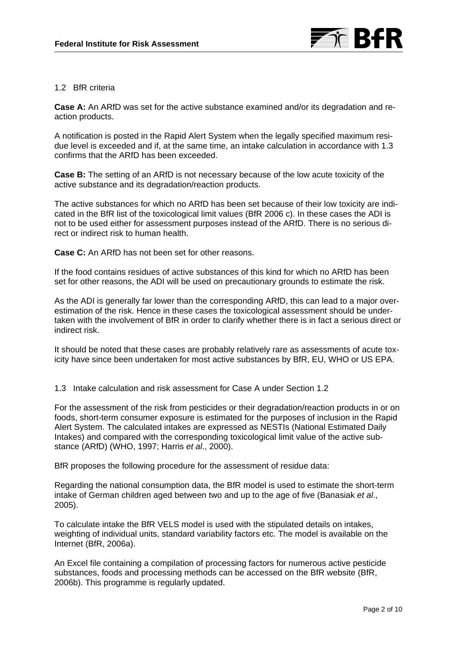

### 1.2 BfR criteria

**Case A:** An ARfD was set for the active substance examined and/or its degradation and reaction products.

A notification is posted in the Rapid Alert System when the legally specified maximum residue level is exceeded and if, at the same time, an intake calculation in accordance with 1.3 confirms that the ARfD has been exceeded.

**Case B:** The setting of an ARfD is not necessary because of the low acute toxicity of the active substance and its degradation/reaction products.

The active substances for which no ARfD has been set because of their low toxicity are indicated in the BfR list of the toxicological limit values (BfR 2006 c). In these cases the ADI is not to be used either for assessment purposes instead of the ARfD. There is no serious direct or indirect risk to human health.

**Case C:** An ARfD has not been set for other reasons.

If the food contains residues of active substances of this kind for which no ARfD has been set for other reasons, the ADI will be used on precautionary grounds to estimate the risk.

As the ADI is generally far lower than the corresponding ARfD, this can lead to a major overestimation of the risk. Hence in these cases the toxicological assessment should be undertaken with the involvement of BfR in order to clarify whether there is in fact a serious direct or indirect risk.

It should be noted that these cases are probably relatively rare as assessments of acute toxicity have since been undertaken for most active substances by BfR, EU, WHO or US EPA.

1.3 Intake calculation and risk assessment for Case A under Section 1.2

For the assessment of the risk from pesticides or their degradation/reaction products in or on foods, short-term consumer exposure is estimated for the purposes of inclusion in the Rapid Alert System. The calculated intakes are expressed as NESTIs (National Estimated Daily Intakes) and compared with the corresponding toxicological limit value of the active substance (ARfD) (WHO, 1997; Harris *et al*., 2000).

BfR proposes the following procedure for the assessment of residue data:

Regarding the national consumption data, the BfR model is used to estimate the short-term intake of German children aged between two and up to the age of five (Banasiak *et al*., 2005).

To calculate intake the BfR VELS model is used with the stipulated details on intakes, weighting of individual units, standard variability factors etc. The model is available on the Internet (BfR, 2006a).

An Excel file containing a compilation of processing factors for numerous active pesticide substances, foods and processing methods can be accessed on the BfR website (BfR, 2006b). This programme is regularly updated.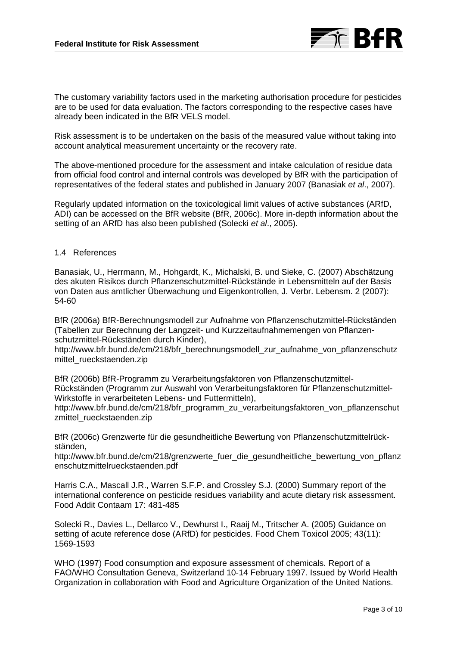

The customary variability factors used in the marketing authorisation procedure for pesticides are to be used for data evaluation. The factors corresponding to the respective cases have already been indicated in the BfR VELS model.

Risk assessment is to be undertaken on the basis of the measured value without taking into account analytical measurement uncertainty or the recovery rate.

The above-mentioned procedure for the assessment and intake calculation of residue data from official food control and internal controls was developed by BfR with the participation of representatives of the federal states and published in January 2007 (Banasiak *et al*., 2007).

Regularly updated information on the toxicological limit values of active substances (ARfD, ADI) can be accessed on the BfR website (BfR, 2006c). More in-depth information about the setting of an ARfD has also been published (Solecki *et al*., 2005).

#### 1.4 References

Banasiak, U., Herrmann, M., Hohgardt, K., Michalski, B. und Sieke, C. (2007) Abschätzung des akuten Risikos durch Pflanzenschutzmittel-Rückstände in Lebensmitteln auf der Basis von Daten aus amtlicher Überwachung und Eigenkontrollen, J. Verbr. Lebensm. 2 (2007): 54-60

BfR (2006a) BfR-Berechnungsmodell zur Aufnahme von Pflanzenschutzmittel-Rückständen (Tabellen zur Berechnung der Langzeit- und Kurzzeitaufnahmemengen von Pflanzenschutzmittel-Rückständen durch Kinder),

[http://www.bfr.bund.de/cm/218/bfr\\_berechnungsmodell\\_zur\\_aufnahme\\_von\\_pflanzenschutz](http://www.bfr.bund.de/cm/218/bfr_berechnungsmodell_zur_aufnahme_von_pflanzenschutzmittel_rueckstaenden.zip) mittel rueckstaenden.zip

BfR (2006b) BfR-Programm zu Verarbeitungsfaktoren von Pflanzenschutzmittel-Rückständen (Programm zur Auswahl von Verarbeitungsfaktoren für Pflanzenschutzmittel-Wirkstoffe in verarbeiteten Lebens- und Futtermitteln),

[http://www.bfr.bund.de/cm/218/bfr\\_programm\\_zu\\_verarbeitungsfaktoren\\_von\\_pflanzenschut](http://www.bfr.bund.de/cm/218/bfr_programm_zu_verarbeitungsfaktoren_von_pflanzenschutzmittel_rueckstaenden.zip) zmittel rueckstaenden.zip

BfR (2006c) Grenzwerte für die gesundheitliche Bewertung von Pflanzenschutzmittelrückständen,

[http://www.bfr.bund.de/cm/218/grenzwerte\\_fuer\\_die\\_gesundheitliche\\_bewertung\\_von\\_pflanz](http://www.bfr.bund.de/cm/218/grenzwerte_fuer_die_gesundheitliche_bewertung_von_pflanzenschutzmittelrueckstaenden.pdf) [enschutzmittelrueckstaenden.pdf](http://www.bfr.bund.de/cm/218/grenzwerte_fuer_die_gesundheitliche_bewertung_von_pflanzenschutzmittelrueckstaenden.pdf) 

Harris C.A., Mascall J.R., Warren S.F.P. and Crossley S.J. (2000) Summary report of the international conference on pesticide residues variability and acute dietary risk assessment. Food Addit Contaam 17: 481-485

Solecki R., Davies L., Dellarco V., Dewhurst I., Raaij M., Tritscher A. (2005) Guidance on setting of acute reference dose (ARfD) for pesticides. Food Chem Toxicol 2005; 43(11): 1569-1593

WHO (1997) Food consumption and exposure assessment of chemicals. Report of a FAO/WHO Consultation Geneva, Switzerland 10-14 February 1997. Issued by World Health Organization in collaboration with Food and Agriculture Organization of the United Nations.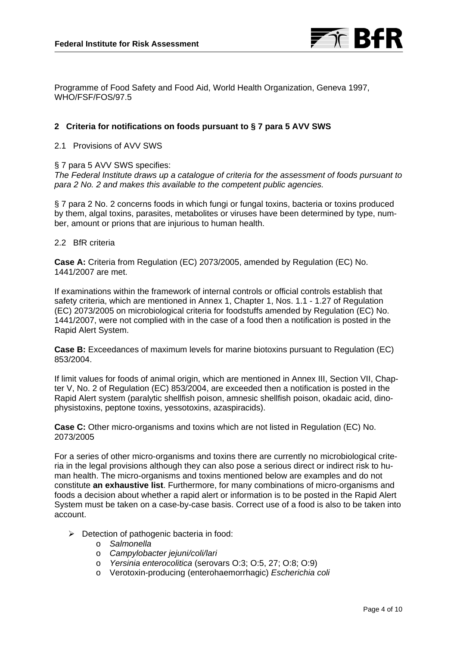

Programme of Food Safety and Food Aid, World Health Organization, Geneva 1997, WHO/FSF/FOS/97.5

## **2 Criteria for notifications on foods pursuant to § 7 para 5 AVV SWS**

2.1 Provisions of AVV SWS

#### § 7 para 5 AVV SWS specifies:

*The Federal Institute draws up a catalogue of criteria for the assessment of foods pursuant to para 2 No. 2 and makes this available to the competent public agencies.*

§ 7 para 2 No. 2 concerns foods in which fungi or fungal toxins, bacteria or toxins produced by them, algal toxins, parasites, metabolites or viruses have been determined by type, number, amount or prions that are injurious to human health.

#### 2.2 BfR criteria

**Case A:** Criteria from Regulation (EC) 2073/2005, amended by Regulation (EC) No. 1441/2007 are met.

If examinations within the framework of internal controls or official controls establish that safety criteria, which are mentioned in Annex 1, Chapter 1, Nos. 1.1 - 1.27 of Regulation (EC) 2073/2005 on microbiological criteria for foodstuffs amended by Regulation (EC) No. 1441/2007, were not complied with in the case of a food then a notification is posted in the Rapid Alert System.

**Case B:** Exceedances of maximum levels for marine biotoxins pursuant to Regulation (EC) 853/2004.

If limit values for foods of animal origin, which are mentioned in Annex III, Section VII, Chapter V, No. 2 of Regulation (EC) 853/2004, are exceeded then a notification is posted in the Rapid Alert system (paralytic shellfish poison, amnesic shellfish poison, okadaic acid, dinophysistoxins, peptone toxins, yessotoxins, azaspiracids).

**Case C:** Other micro-organisms and toxins which are not listed in Regulation (EC) No. 2073/2005

For a series of other micro-organisms and toxins there are currently no microbiological criteria in the legal provisions although they can also pose a serious direct or indirect risk to human health. The micro-organisms and toxins mentioned below are examples and do not constitute **an exhaustive list**. Furthermore, for many combinations of micro-organisms and foods a decision about whether a rapid alert or information is to be posted in the Rapid Alert System must be taken on a case-by-case basis. Correct use of a food is also to be taken into account.

- $\triangleright$  Detection of pathogenic bacteria in food:
	- o *Salmonella*
	- o *Campylobacter jejuni/coli/lari*
	- o *Yersinia enterocolitica* (serovars O:3; O:5, 27; O:8; O:9)
	- o Verotoxin-producing (enterohaemorrhagic) *Escherichia coli*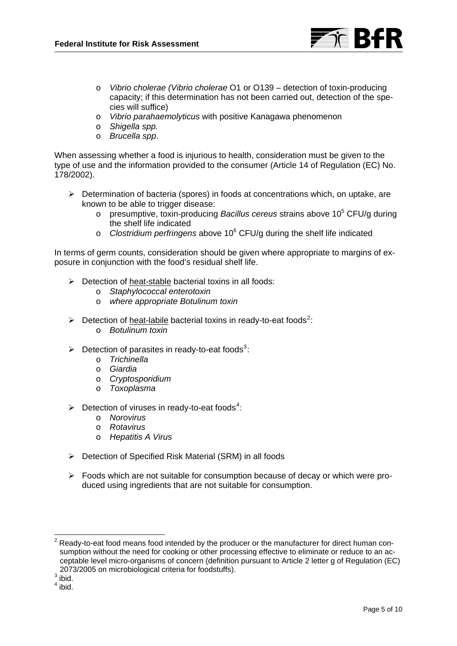

- o *Vibrio cholerae (Vibrio cholerae* O1 or O139 detection of toxin-producing capacity; if this determination has not been carried out, detection of the species will suffice)
- o *Vibrio parahaemolyticus* with positive Kanagawa phenomenon
- o *Shigella spp.*
- o *Brucella spp*.

When assessing whether a food is injurious to health, consideration must be given to the type of use and the information provided to the consumer (Article 14 of Regulation (EC) No. 178/2002).

- ¾ Determination of bacteria (spores) in foods at concentrations which, on uptake, are known to be able to trigger disease:
	- o presumptive, toxin-producing Bacillus cereus strains above 10<sup>5</sup> CFU/g during the shelf life indicated
	- o *Clostridium perfringens* above 10<sup>6</sup> CFU/g during the shelf life indicated

In terms of germ counts, consideration should be given where appropriate to margins of exposure in conjunction with the food's residual shelf life.

- $\triangleright$  Detection of heat-stable bacterial toxins in all foods:
	- o *Staphylococcal enterotoxin*
	- o *where appropriate Botulinum toxin*
- $\triangleright$  Detection of heat-labile bacterial toxins in ready-to-eat foods<sup>[2](#page-4-0)</sup>:
	- o *Botulinum toxin*
- $\triangleright$  Detection of parasites in ready-to-eat foods<sup>[3](#page-4-1)</sup>:
	- o *Trichinella*
	- o *Giardia*
	- o *Cryptosporidium*
	- o *Toxoplasma*
- $\triangleright$  Detection of viruses in ready-to-eat foods<sup>[4](#page-4-2)</sup>:
	- o *Norovirus*
	- o *Rotavirus*
	- o *Hepatitis A Virus*
- ¾ Detection of Specified Risk Material (SRM) in all foods
- $\triangleright$  Foods which are not suitable for consumption because of decay or which were produced using ingredients that are not suitable for consumption.

<span id="page-4-0"></span> 2 Ready-to-eat food means food intended by the producer or the manufacturer for direct human consumption without the need for cooking or other processing effective to eliminate or reduce to an acceptable level micro-organisms of concern (definition pursuant to Article 2 letter g of Regulation (EC) 2073/2005 on microbiological criteria for foodstuffs). 3

<span id="page-4-1"></span> $3 \text{ hid}.$ 

<span id="page-4-2"></span> $<sup>4</sup>$  ibid.</sup>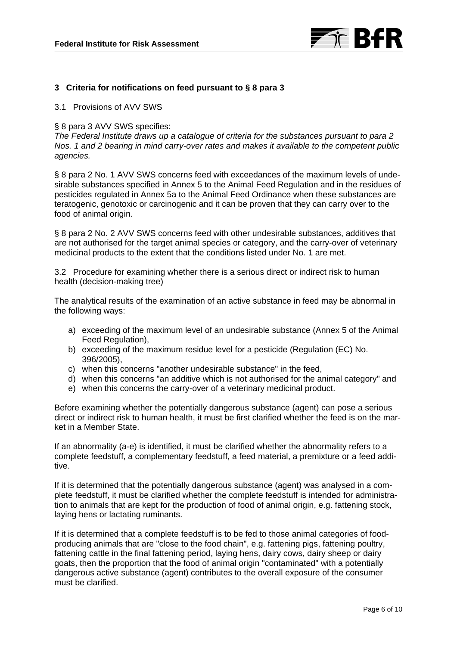

## **3 Criteria for notifications on feed pursuant to § 8 para 3**

3.1 Provisions of AVV SWS

#### § 8 para 3 AVV SWS specifies:

*The Federal Institute draws up a catalogue of criteria for the substances pursuant to para 2 Nos. 1 and 2 bearing in mind carry-over rates and makes it available to the competent public agencies.* 

§ 8 para 2 No. 1 AVV SWS concerns feed with exceedances of the maximum levels of undesirable substances specified in Annex 5 to the Animal Feed Regulation and in the residues of pesticides regulated in Annex 5a to the Animal Feed Ordinance when these substances are teratogenic, genotoxic or carcinogenic and it can be proven that they can carry over to the food of animal origin.

§ 8 para 2 No. 2 AVV SWS concerns feed with other undesirable substances, additives that are not authorised for the target animal species or category, and the carry-over of veterinary medicinal products to the extent that the conditions listed under No. 1 are met.

3.2 Procedure for examining whether there is a serious direct or indirect risk to human health (decision-making tree)

The analytical results of the examination of an active substance in feed may be abnormal in the following ways:

- a) exceeding of the maximum level of an undesirable substance (Annex 5 of the Animal Feed Regulation),
- b) exceeding of the maximum residue level for a pesticide (Regulation (EC) No. 396/2005),
- c) when this concerns "another undesirable substance" in the feed,
- d) when this concerns "an additive which is not authorised for the animal category" and
- e) when this concerns the carry-over of a veterinary medicinal product.

Before examining whether the potentially dangerous substance (agent) can pose a serious direct or indirect risk to human health, it must be first clarified whether the feed is on the market in a Member State.

If an abnormality (a-e) is identified, it must be clarified whether the abnormality refers to a complete feedstuff, a complementary feedstuff, a feed material, a premixture or a feed additive.

If it is determined that the potentially dangerous substance (agent) was analysed in a complete feedstuff, it must be clarified whether the complete feedstuff is intended for administration to animals that are kept for the production of food of animal origin, e.g. fattening stock, laying hens or lactating ruminants.

If it is determined that a complete feedstuff is to be fed to those animal categories of foodproducing animals that are "close to the food chain", e.g. fattening pigs, fattening poultry, fattening cattle in the final fattening period, laying hens, dairy cows, dairy sheep or dairy goats, then the proportion that the food of animal origin "contaminated" with a potentially dangerous active substance (agent) contributes to the overall exposure of the consumer must be clarified.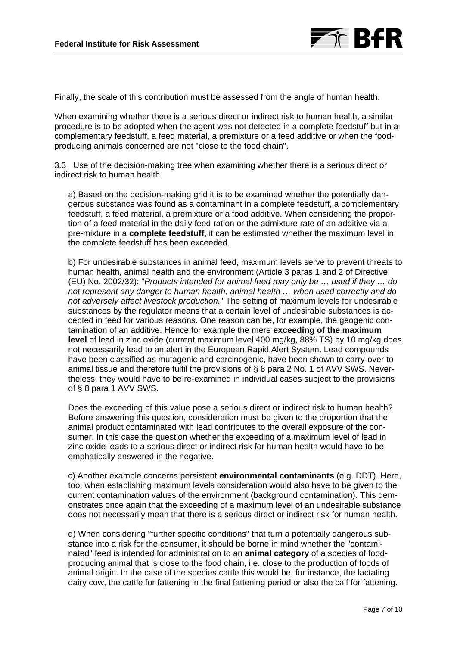

Finally, the scale of this contribution must be assessed from the angle of human health.

When examining whether there is a serious direct or indirect risk to human health, a similar procedure is to be adopted when the agent was not detected in a complete feedstuff but in a complementary feedstuff, a feed material, a premixture or a feed additive or when the foodproducing animals concerned are not "close to the food chain".

3.3 Use of the decision-making tree when examining whether there is a serious direct or indirect risk to human health

a) Based on the decision-making grid it is to be examined whether the potentially dangerous substance was found as a contaminant in a complete feedstuff, a complementary feedstuff, a feed material, a premixture or a food additive. When considering the proportion of a feed material in the daily feed ration or the admixture rate of an additive via a pre-mixture in a **complete feedstuff**, it can be estimated whether the maximum level in the complete feedstuff has been exceeded.

b) For undesirable substances in animal feed, maximum levels serve to prevent threats to human health, animal health and the environment (Article 3 paras 1 and 2 of Directive (EU) No. 2002/32): "*Products intended for animal feed may only be … used if they … do not represent any danger to human health, animal health … when used correctly and do not adversely affect livestock production.*" The setting of maximum levels for undesirable substances by the regulator means that a certain level of undesirable substances is accepted in feed for various reasons. One reason can be, for example, the geogenic contamination of an additive. Hence for example the mere **exceeding of the maximum level** of lead in zinc oxide (current maximum level 400 mg/kg, 88% TS) by 10 mg/kg does not necessarily lead to an alert in the European Rapid Alert System. Lead compounds have been classified as mutagenic and carcinogenic, have been shown to carry-over to animal tissue and therefore fulfil the provisions of § 8 para 2 No. 1 of AVV SWS. Nevertheless, they would have to be re-examined in individual cases subject to the provisions of § 8 para 1 AVV SWS.

Does the exceeding of this value pose a serious direct or indirect risk to human health? Before answering this question, consideration must be given to the proportion that the animal product contaminated with lead contributes to the overall exposure of the consumer. In this case the question whether the exceeding of a maximum level of lead in zinc oxide leads to a serious direct or indirect risk for human health would have to be emphatically answered in the negative.

c) Another example concerns persistent **environmental contaminants** (e.g. DDT). Here, too, when establishing maximum levels consideration would also have to be given to the current contamination values of the environment (background contamination). This demonstrates once again that the exceeding of a maximum level of an undesirable substance does not necessarily mean that there is a serious direct or indirect risk for human health.

d) When considering "further specific conditions" that turn a potentially dangerous substance into a risk for the consumer, it should be borne in mind whether the "contaminated" feed is intended for administration to an **animal category** of a species of foodproducing animal that is close to the food chain, i.e. close to the production of foods of animal origin. In the case of the species cattle this would be, for instance, the lactating dairy cow, the cattle for fattening in the final fattening period or also the calf for fattening.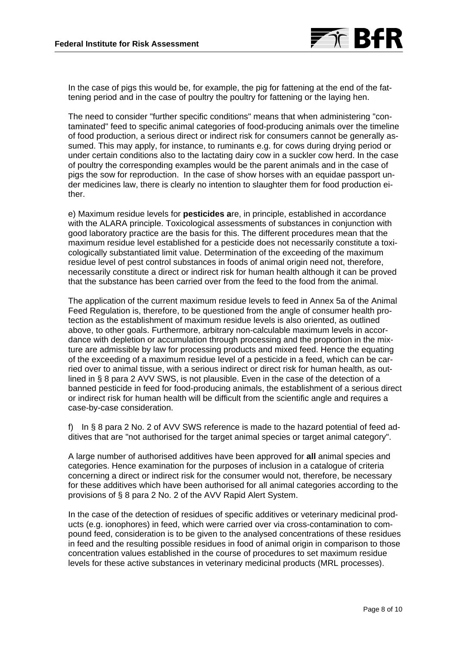

In the case of pigs this would be, for example, the pig for fattening at the end of the fattening period and in the case of poultry the poultry for fattening or the laying hen.

The need to consider "further specific conditions" means that when administering "contaminated" feed to specific animal categories of food-producing animals over the timeline of food production, a serious direct or indirect risk for consumers cannot be generally assumed. This may apply, for instance, to ruminants e.g. for cows during drying period or under certain conditions also to the lactating dairy cow in a suckler cow herd. In the case of poultry the corresponding examples would be the parent animals and in the case of pigs the sow for reproduction. In the case of show horses with an equidae passport under medicines law, there is clearly no intention to slaughter them for food production either.

e) Maximum residue levels for **pesticides a**re, in principle, established in accordance with the ALARA principle. Toxicological assessments of substances in conjunction with good laboratory practice are the basis for this. The different procedures mean that the maximum residue level established for a pesticide does not necessarily constitute a toxicologically substantiated limit value. Determination of the exceeding of the maximum residue level of pest control substances in foods of animal origin need not, therefore, necessarily constitute a direct or indirect risk for human health although it can be proved that the substance has been carried over from the feed to the food from the animal.

The application of the current maximum residue levels to feed in Annex 5a of the Animal Feed Regulation is, therefore, to be questioned from the angle of consumer health protection as the establishment of maximum residue levels is also oriented, as outlined above, to other goals. Furthermore, arbitrary non-calculable maximum levels in accordance with depletion or accumulation through processing and the proportion in the mixture are admissible by law for processing products and mixed feed. Hence the equating of the exceeding of a maximum residue level of a pesticide in a feed, which can be carried over to animal tissue, with a serious indirect or direct risk for human health, as outlined in § 8 para 2 AVV SWS, is not plausible. Even in the case of the detection of a banned pesticide in feed for food-producing animals, the establishment of a serious direct or indirect risk for human health will be difficult from the scientific angle and requires a case-by-case consideration.

f) In § 8 para 2 No. 2 of AVV SWS reference is made to the hazard potential of feed additives that are "not authorised for the target animal species or target animal category".

A large number of authorised additives have been approved for **all** animal species and categories. Hence examination for the purposes of inclusion in a catalogue of criteria concerning a direct or indirect risk for the consumer would not, therefore, be necessary for these additives which have been authorised for all animal categories according to the provisions of § 8 para 2 No. 2 of the AVV Rapid Alert System.

In the case of the detection of residues of specific additives or veterinary medicinal products (e.g. ionophores) in feed, which were carried over via cross-contamination to compound feed, consideration is to be given to the analysed concentrations of these residues in feed and the resulting possible residues in food of animal origin in comparison to those concentration values established in the course of procedures to set maximum residue levels for these active substances in veterinary medicinal products (MRL processes).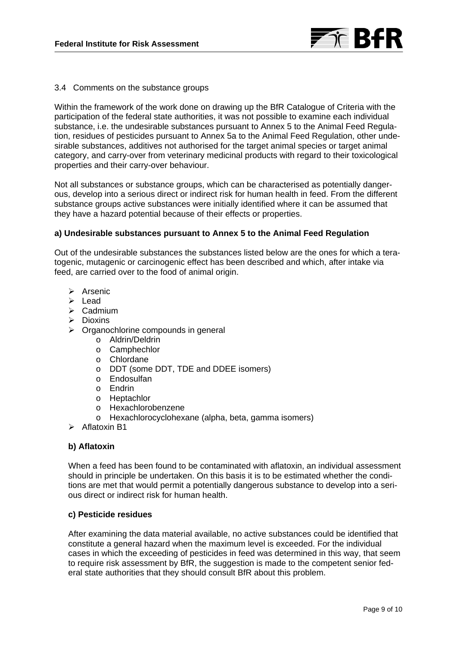

### 3.4 Comments on the substance groups

Within the framework of the work done on drawing up the BfR Catalogue of Criteria with the participation of the federal state authorities, it was not possible to examine each individual substance, i.e. the undesirable substances pursuant to Annex 5 to the Animal Feed Regulation, residues of pesticides pursuant to Annex 5a to the Animal Feed Regulation, other undesirable substances, additives not authorised for the target animal species or target animal category, and carry-over from veterinary medicinal products with regard to their toxicological properties and their carry-over behaviour.

Not all substances or substance groups, which can be characterised as potentially dangerous, develop into a serious direct or indirect risk for human health in feed. From the different substance groups active substances were initially identified where it can be assumed that they have a hazard potential because of their effects or properties.

### **a) Undesirable substances pursuant to Annex 5 to the Animal Feed Regulation**

Out of the undesirable substances the substances listed below are the ones for which a teratogenic, mutagenic or carcinogenic effect has been described and which, after intake via feed, are carried over to the food of animal origin.

- $\triangleright$  Arsenic
- ¾ Lead
- ¾ Cadmium
- $\triangleright$  Dioxins
- $\triangleright$  Organochlorine compounds in general
	- o Aldrin/Deldrin
	- o Camphechlor
	- o Chlordane
	- o DDT (some DDT, TDE and DDEE isomers)
	- o Endosulfan
	- o Endrin
	- o Heptachlor
	- o Hexachlorobenzene
	- o Hexachlorocyclohexane (alpha, beta, gamma isomers)

 $\triangleright$  Aflatoxin B1

### **b) Aflatoxin**

When a feed has been found to be contaminated with aflatoxin, an individual assessment should in principle be undertaken. On this basis it is to be estimated whether the conditions are met that would permit a potentially dangerous substance to develop into a serious direct or indirect risk for human health.

#### **c) Pesticide residues**

After examining the data material available, no active substances could be identified that constitute a general hazard when the maximum level is exceeded. For the individual cases in which the exceeding of pesticides in feed was determined in this way, that seem to require risk assessment by BfR, the suggestion is made to the competent senior federal state authorities that they should consult BfR about this problem.